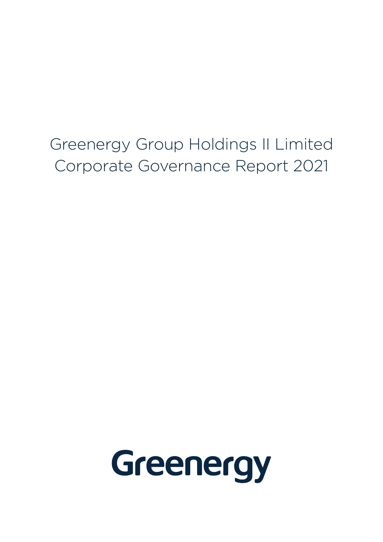Greenergy Group Holdings II Limited Corporate Governance Report 2021

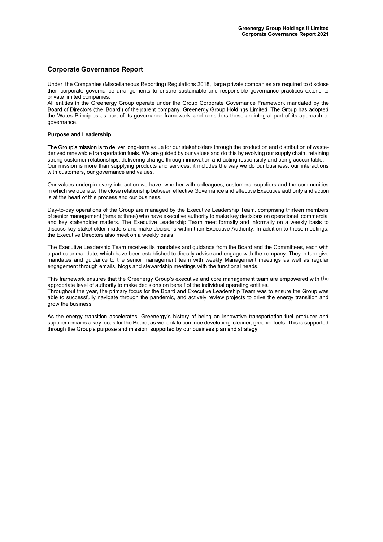### Corporate Governance Report

Under the Companies (Miscellaneous Reporting) Regulations 2018, large private companies are required to disclose their corporate governance arrangements to ensure sustainable and responsible governance practices extend to private limited companies.

All entities in the Greenergy Group operate under the Group Corporate Governance Framework mandated by the Board') of the parent company, Greenergy Group Holdings Limited. The Group has adopted the Wates Principles as part of its governance framework, and considers these an integral part of its approach to governance.

#### Purpose and Leadership

The Group's mission is to deliver long-term value for our stakeholders through the production and distribution of wastederived renewable transportation fuels. We are quided by our values and do this by evolving our supply chain, retaining strong customer relationships, delivering change through innovation and acting responsibly and being accountable. Our mission is more than supplying products and services, it includes the way we do our business, our interactions with customers, our governance and values.

Our values underpin every interaction we have, whether with colleagues, customers, suppliers and the communities in which we operate. The close relationship between effective Governance and effective Executive authority and action is at the heart of this process and our business.

Day-to-day operations of the Group are managed by the Executive Leadership Team, comprising thirteen members of senior management (female: three) who have executive authority to make key decisions on operational, commercial and key stakeholder matters. The Executive Leadership Team meet formally and informally on a weekly basis to discuss key stakeholder matters and make decisions within their Executive Authority. In addition to these meetings, the Executive Directors also meet on a weekly basis.

The Executive Leadership Team receives its mandates and guidance from the Board and the Committees, each with a particular mandate, which have been established to directly advise and engage with the company. They in turn give mandates and guidance to the senior management team with weekly Management meetings as well as regular engagement through emails, blogs and stewardship meetings with the functional heads.

This framework ensures that the Greenergy Group's executive and core management team are empowered with the appropriate level of authority to make decisions on behalf of the individual operating entities. Throughout the year, the primary focus for the Board and Executive Leadership Team was to ensure the Group was able to successfully navigate through the pandemic, and actively review projects to drive the energy transition and grow the business.

As the energy transition accelerates. Greenergy's history of being an innovative transportation fuel producer and supplier remains a key focus for the Board, as we look to continue developing cleaner, greener fuels. This is supported<br>through the Group's purpose and mission, supported by our business plan and strategy.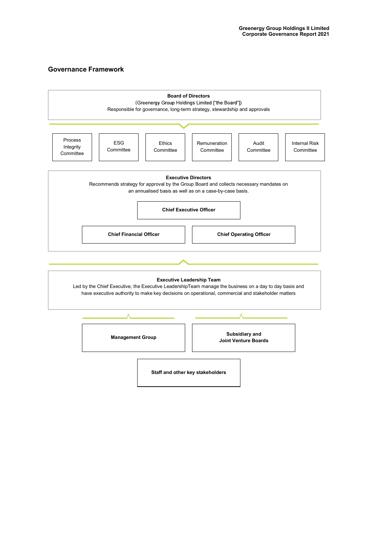## Governance Framework

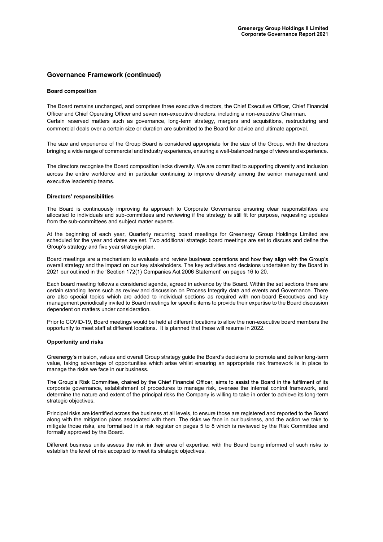### Governance Framework (continued)

#### Board composition

The Board remains unchanged, and comprises three executive directors, the Chief Executive Officer, Chief Financial Officer and Chief Operating Officer and seven non-executive directors, including a non-executive Chairman. Certain reserved matters such as governance, long-term strategy, mergers and acquisitions, restructuring and commercial deals over a certain size or duration are submitted to the Board for advice and ultimate approval.

The size and experience of the Group Board is considered appropriate for the size of the Group, with the directors bringing a wide range of commercial and industry experience, ensuring a well-balanced range of views and experience.

The directors recognise the Board composition lacks diversity. We are committed to supporting diversity and inclusion across the entire workforce and in particular continuing to improve diversity among the senior management and executive leadership teams.

#### **Directors' responsibilities**

The Board is continuously improving its approach to Corporate Governance ensuring clear responsibilities are allocated to individuals and sub-committees and reviewing if the strategy is still fit for purpose, requesting updates from the sub-committees and subject matter experts.

At the beginning of each year, Quarterly recurring board meetings for Greenergy Group Holdings Limited are scheduled for the year and dates are set. Two additional strategic board meetings are set to discuss and define the Group's strategy and five year strategic plan.

Board meetings are a mechanism to evaluate and review business operations and how they align with the Group's overall strategy and the impact on our key stakeholders. The key activities and decisions undertaken by the Board in 2021 our outlined in the 'Section 172(1) Companies Act 2006 Statement' on pages 16 to 20.

Each board meeting follows a considered agenda, agreed in advance by the Board. Within the set sections there are certain standing items such as review and discussion on Process Integrity data and events and Governance. There are also special topics which are added to individual sections as required with non-board Executives and key management periodically invited to Board meetings for specific items to provide their expertise to the Board discussion dependent on matters under consideration.

Prior to COVID-19, Board meetings would be held at different locations to allow the non-executive board members the opportunity to meet staff at different locations. It is planned that these will resume in 2022.

#### Opportunity and risks

Greenergy's mission, values and overall Group strategy guide the Board's decisions to promote and deliver long-term value, taking advantage of opportunities which arise whilst ensuring an appropriate risk framework is in place to manage the risks we face in our business.

The Group's Risk Committee, chaired by the Chief Financial Officer, aims to assist the Board in the fulfilment of its corporate governance, establishment of procedures to manage risk, oversee the internal control framework, and determine the nature and extent of the principal risks the Company is willing to take in order to achieve its long-term strategic objectives.

Principal risks are identified across the business at all levels, to ensure those are registered and reported to the Board along with the mitigation plans associated with them. The risks we face in our business, and the action we take to mitigate those risks, are formalised in a risk register on pages 5 to 8 which is reviewed by the Risk Committee and formally approved by the Board.

Different business units assess the risk in their area of expertise, with the Board being informed of such risks to establish the level of risk accepted to meet its strategic objectives.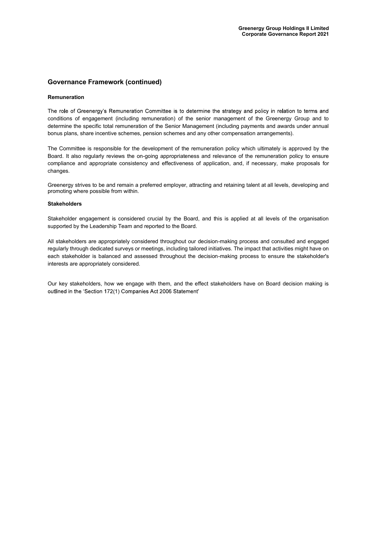### Governance Framework (continued)

#### Remuneration

The role of Greenergy's Remuneration Committee is to determine the strategy and policy in relation to terms and conditions of engagement (including remuneration) of the senior management of the Greenergy Group and to determine the specific total remuneration of the Senior Management (including payments and awards under annual bonus plans, share incentive schemes, pension schemes and any other compensation arrangements).

The Committee is responsible for the development of the remuneration policy which ultimately is approved by the Board. It also regularly reviews the on-going appropriateness and relevance of the remuneration policy to ensure compliance and appropriate consistency and effectiveness of application, and, if necessary, make proposals for changes.

Greenergy strives to be and remain a preferred employer, attracting and retaining talent at all levels, developing and promoting where possible from within.

#### **Stakeholders**

Stakeholder engagement is considered crucial by the Board, and this is applied at all levels of the organisation supported by the Leadership Team and reported to the Board.

All stakeholders are appropriately considered throughout our decision-making process and consulted and engaged regularly through dedicated surveys or meetings, including tailored initiatives. The impact that activities might have on each stakeholder is balanced and assessed throughout the decision-making process to ensure the stakeholder's interests are appropriately considered.

Our key stakeholders, how we engage with them, and the effect stakeholders have on Board decision making is outlined in the 'Section 172(1) Companies Act 2006 Statement'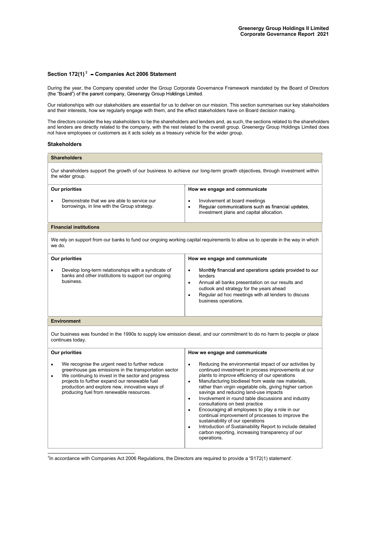### Section 172(1)<sup>7</sup> - Companies Act 2006 Statement

During the year, the Company operated under the Group Corporate Governance Framework mandated by the Board of Directors<br>(the "Board") of the parent company, Greenergy Group Holdings Limited.

Our relationships with our stakeholders are essential for us to deliver on our mission. This section summarises our key stakeholders and their interests, how we regularly engage with them, and the effect stakeholders have on Board decision making.

The directors consider the key stakeholders to be the shareholders and lenders and, as such, the sections related to the shareholders and lenders are directly related to the company, with the rest related to the overall group. Greenergy Group Holdings Limited does not have employees or customers as it acts solely as a treasury vehicle for the wider group.

#### Stakeholders

| <b>Shareholders</b>                                                                                                                                                                                                                                                                                                            |                                                                                                                                                                                                                                                                                                                                                                                                                                                                                                                                                                                                                                                                                                                                                                |  |
|--------------------------------------------------------------------------------------------------------------------------------------------------------------------------------------------------------------------------------------------------------------------------------------------------------------------------------|----------------------------------------------------------------------------------------------------------------------------------------------------------------------------------------------------------------------------------------------------------------------------------------------------------------------------------------------------------------------------------------------------------------------------------------------------------------------------------------------------------------------------------------------------------------------------------------------------------------------------------------------------------------------------------------------------------------------------------------------------------------|--|
| Our shareholders support the growth of our business to achieve our long-term growth objectives, through investment within<br>the wider group.                                                                                                                                                                                  |                                                                                                                                                                                                                                                                                                                                                                                                                                                                                                                                                                                                                                                                                                                                                                |  |
| Our priorities                                                                                                                                                                                                                                                                                                                 | How we engage and communicate                                                                                                                                                                                                                                                                                                                                                                                                                                                                                                                                                                                                                                                                                                                                  |  |
| Demonstrate that we are able to service our<br>borrowings, in line with the Group strategy.                                                                                                                                                                                                                                    | Involvement at board meetings<br>$\bullet$<br>Requiar communications such as financial updates.<br>$\bullet$<br>investment plans and capital allocation.                                                                                                                                                                                                                                                                                                                                                                                                                                                                                                                                                                                                       |  |
| <b>Financial institutions</b>                                                                                                                                                                                                                                                                                                  |                                                                                                                                                                                                                                                                                                                                                                                                                                                                                                                                                                                                                                                                                                                                                                |  |
| We rely on support from our banks to fund our ongoing working capital requirements to allow us to operate in the way in which<br>we do.                                                                                                                                                                                        |                                                                                                                                                                                                                                                                                                                                                                                                                                                                                                                                                                                                                                                                                                                                                                |  |
| Our priorities                                                                                                                                                                                                                                                                                                                 | How we engage and communicate                                                                                                                                                                                                                                                                                                                                                                                                                                                                                                                                                                                                                                                                                                                                  |  |
| Develop long-term relationships with a syndicate of<br>$\bullet$<br>banks and other institutions to support our ongoing<br>business.                                                                                                                                                                                           | Monthly financial and operations update provided to our<br>$\bullet$<br>lenders<br>Annual all banks presentation on our results and<br>$\bullet$<br>outlook and strategy for the years ahead<br>Regular ad hoc meetings with all lenders to discuss<br>$\bullet$<br>business operations.                                                                                                                                                                                                                                                                                                                                                                                                                                                                       |  |
| <b>Environment</b>                                                                                                                                                                                                                                                                                                             |                                                                                                                                                                                                                                                                                                                                                                                                                                                                                                                                                                                                                                                                                                                                                                |  |
| Our business was founded in the 1990s to supply low emission diesel, and our commitment to do no harm to people or place<br>continues today.                                                                                                                                                                                   |                                                                                                                                                                                                                                                                                                                                                                                                                                                                                                                                                                                                                                                                                                                                                                |  |
| Our priorities                                                                                                                                                                                                                                                                                                                 | How we engage and communicate                                                                                                                                                                                                                                                                                                                                                                                                                                                                                                                                                                                                                                                                                                                                  |  |
| We recognise the urgent need to further reduce<br>$\bullet$<br>greenhouse gas emissions in the transportation sector<br>We continuing to invest in the sector and progress<br>٠<br>projects to further expand our renewable fuel<br>production and explore new, innovative ways of<br>producing fuel from renewable resources. | Reducing the environmental impact of our activities by<br>$\bullet$<br>continued investment in process improvements at our<br>plants to improve efficiency of our operations<br>Manufacturing biodiesel from waste raw materials,<br>$\bullet$<br>rather than virgin vegetable oils, giving higher carbon<br>savings and reducing land-use impacts<br>Involvement in round table discussions and industry<br>$\bullet$<br>consultations on best practice<br>Encouraging all employees to play a role in our<br>$\bullet$<br>continual improvement of processes to improve the<br>sustainability of our operations<br>Introduction of Sustainability Report to include detailed<br>$\bullet$<br>carbon reporting, increasing transparency of our<br>operations. |  |

<sup>7</sup>In accordance with Companies Act 2006 Regulations, the Directors are required to provide a 'S172(1) statement'.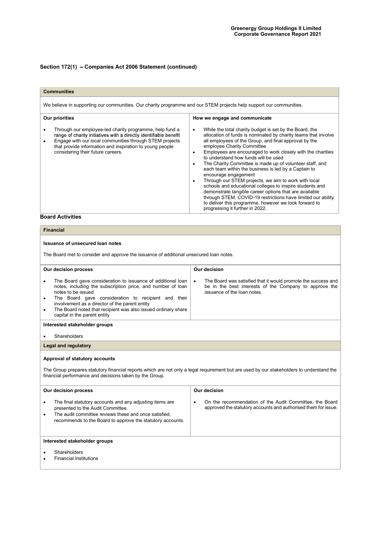# Section 172(1) - Companies Act 2006 Statement (continued)

| <b>Communities</b><br>We believe in supporting our communities. Our charity programme and our STEM projects help support our communities.                                                                                                                                                          |                                                                                                                                                                                                                                                                                                                                                                                                                                                                                                                                                                                                                                                                                                                                                                                                                         |  |
|----------------------------------------------------------------------------------------------------------------------------------------------------------------------------------------------------------------------------------------------------------------------------------------------------|-------------------------------------------------------------------------------------------------------------------------------------------------------------------------------------------------------------------------------------------------------------------------------------------------------------------------------------------------------------------------------------------------------------------------------------------------------------------------------------------------------------------------------------------------------------------------------------------------------------------------------------------------------------------------------------------------------------------------------------------------------------------------------------------------------------------------|--|
|                                                                                                                                                                                                                                                                                                    |                                                                                                                                                                                                                                                                                                                                                                                                                                                                                                                                                                                                                                                                                                                                                                                                                         |  |
| Through our employee-led charity programme, help fund a<br>٠<br>range of charity initiatives with a directly identifiable benefit<br>Engage with our local communities through STEM projects<br>٠<br>that provide information and inspiration to young people<br>considering their future careers. | While the total charity budget is set by the Board, the<br>٠<br>allocation of funds is nominated by charity teams that involve<br>all employees of the Group, and final approval by the<br>employee Charity Committee<br>Employees are encouraged to work closely with the charities<br>to understand how funds will be used<br>The Charity Committee is made up of volunteer staff, and<br>each team within the business is led by a Captain to<br>encourage engagement<br>Through our STEM projects, we aim to work with local<br>٠<br>schools and educational colleges to inspire students and<br>demonstrate tangible career options that are available<br>through STEM. COVID-19 restrictions have limited our ability<br>to deliver this programme, however we look forward to<br>progressing it further in 2022. |  |
| <b>Board Activities</b>                                                                                                                                                                                                                                                                            |                                                                                                                                                                                                                                                                                                                                                                                                                                                                                                                                                                                                                                                                                                                                                                                                                         |  |

| <b>Financial</b>                                                                                                                                                                                                                                                                                                                                                                          |                                                                                                                                                       |  |
|-------------------------------------------------------------------------------------------------------------------------------------------------------------------------------------------------------------------------------------------------------------------------------------------------------------------------------------------------------------------------------------------|-------------------------------------------------------------------------------------------------------------------------------------------------------|--|
| Issuance of unsecured loan notes                                                                                                                                                                                                                                                                                                                                                          |                                                                                                                                                       |  |
| The Board met to consider and approve the issuance of additional unsecured loan notes.                                                                                                                                                                                                                                                                                                    |                                                                                                                                                       |  |
| Our decision process                                                                                                                                                                                                                                                                                                                                                                      | Our decision                                                                                                                                          |  |
| The Board gave consideration to issuance of additional loan<br>$\bullet$<br>notes, including the subscription price, and number of loan<br>notes to be issued<br>The Board gave consideration to recipient and their<br>٠<br>involvement as a director of the parent entity<br>The Board noted that recipient was also issued ordinary share<br>$\bullet$<br>capital in the parent entity | The Board was satisfied that it would promote the success and<br>be in the best interests of the Company to approve the<br>issuance of the loan notes |  |
| Interested stakeholder groups                                                                                                                                                                                                                                                                                                                                                             |                                                                                                                                                       |  |
| Shareholders                                                                                                                                                                                                                                                                                                                                                                              |                                                                                                                                                       |  |
| <b>Legal and regulatory</b>                                                                                                                                                                                                                                                                                                                                                               |                                                                                                                                                       |  |
| Approval of statutory accounts<br>The Group prepares statutory financial reports which are not only a legal requirement but are used by our stakeholders to understand the<br>financial performance and decisions taken by the Group.                                                                                                                                                     |                                                                                                                                                       |  |
| Our decision process                                                                                                                                                                                                                                                                                                                                                                      | Our decision                                                                                                                                          |  |
| The final statutory accounts and any adjusting items are<br>٠<br>presented to the Audit Committee.<br>The audit committee reviews these and once satisfied.<br>$\bullet$<br>recommends to the Board to approve the statutory accounts.                                                                                                                                                    | On the recommendation of the Audit Committee, the Board<br>٠<br>approved the statutory accounts and authorised them for issue.                        |  |
| Interested stakeholder groups                                                                                                                                                                                                                                                                                                                                                             |                                                                                                                                                       |  |
| Shareholders<br><b>Financial Institutions</b>                                                                                                                                                                                                                                                                                                                                             |                                                                                                                                                       |  |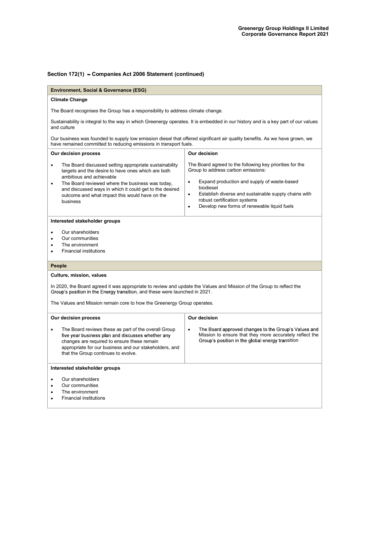# Section 172(1) - Companies Act 2006 Statement (continued)

| <b>Environment, Social &amp; Governance (ESG)</b>                                                                                                                                                                                                                                                                                               |                                                                                                                                                                                                                                                                                                                                  |
|-------------------------------------------------------------------------------------------------------------------------------------------------------------------------------------------------------------------------------------------------------------------------------------------------------------------------------------------------|----------------------------------------------------------------------------------------------------------------------------------------------------------------------------------------------------------------------------------------------------------------------------------------------------------------------------------|
|                                                                                                                                                                                                                                                                                                                                                 |                                                                                                                                                                                                                                                                                                                                  |
| <b>Climate Change</b>                                                                                                                                                                                                                                                                                                                           |                                                                                                                                                                                                                                                                                                                                  |
| The Board recognises the Group has a responsibility to address climate change.                                                                                                                                                                                                                                                                  |                                                                                                                                                                                                                                                                                                                                  |
| and culture                                                                                                                                                                                                                                                                                                                                     | Sustainability is integral to the way in which Greenergy operates. It is embedded in our history and is a key part of our values                                                                                                                                                                                                 |
| Our business was founded to supply low emission diesel that offered significant air quality benefits. As we have grown, we<br>have remained committed to reducing emissions in transport fuels.                                                                                                                                                 |                                                                                                                                                                                                                                                                                                                                  |
| Our decision process                                                                                                                                                                                                                                                                                                                            | Our decision                                                                                                                                                                                                                                                                                                                     |
| The Board discussed setting appropriate sustainability<br>$\bullet$<br>targets and the desire to have ones which are both<br>ambitious and achievable<br>The Board reviewed where the business was today,<br>$\bullet$<br>and discussed ways in which it could get to the desired<br>outcome and what impact this would have on the<br>business | The Board agreed to the following key priorities for the<br>Group to address carbon emissions:<br>Expand production and supply of waste-based<br>٠<br>biodiesel<br>Establish diverse and sustainable supply chains with<br>$\bullet$<br>robust certification systems<br>Develop new forms of renewable liquid fuels<br>$\bullet$ |
| Our shareholders<br>٠<br>Our communities<br>$\bullet$<br>The environment<br>٠<br><b>Financial institutions</b><br>$\bullet$                                                                                                                                                                                                                     |                                                                                                                                                                                                                                                                                                                                  |
| People                                                                                                                                                                                                                                                                                                                                          |                                                                                                                                                                                                                                                                                                                                  |
| Culture, mission, values                                                                                                                                                                                                                                                                                                                        |                                                                                                                                                                                                                                                                                                                                  |
| In 2020, the Board agreed it was appropriate to review and update the Values and Mission of the Group to reflect the<br>Group's position in the Energy transition, and these were launched in 2021.<br>The Values and Mission remain core to how the Greenergy Group operates.                                                                  |                                                                                                                                                                                                                                                                                                                                  |
| Our decision process                                                                                                                                                                                                                                                                                                                            | Our decision                                                                                                                                                                                                                                                                                                                     |
| The Board reviews these as part of the overall Group<br>five year business plan and discusses whether any<br>changes are required to ensure these remain<br>appropriate for our business and our stakeholders, and<br>that the Group continues to evolve.                                                                                       | The Board approved changes to the Group's Values and<br>$\bullet$<br>Mission to ensure that they more accurately reflect the<br>Group's position in the global energy transition                                                                                                                                                 |
| Interested stakeholder groups                                                                                                                                                                                                                                                                                                                   |                                                                                                                                                                                                                                                                                                                                  |
| Our shareholders<br>$\bullet$<br>Our communities<br>٠<br>The environment<br>$\bullet$<br><b>Financial institutions</b><br>$\bullet$                                                                                                                                                                                                             |                                                                                                                                                                                                                                                                                                                                  |